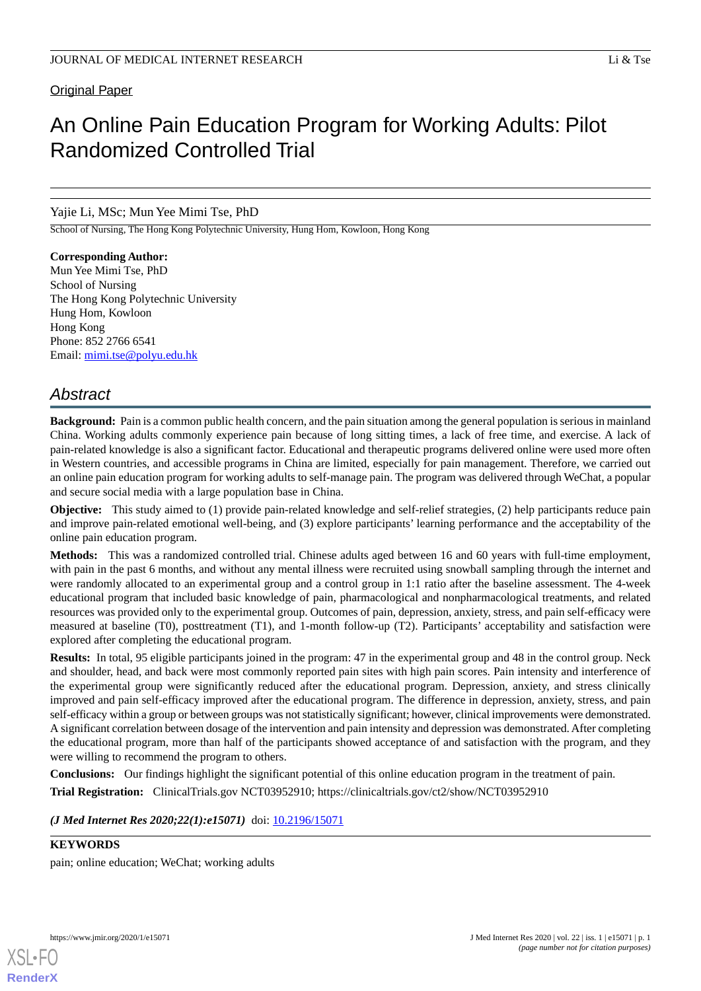# An Online Pain Education Program for Working Adults: Pilot Randomized Controlled Trial

# Yajie Li, MSc; Mun Yee Mimi Tse, PhD

School of Nursing, The Hong Kong Polytechnic University, Hung Hom, Kowloon, Hong Kong

**Corresponding Author:** Mun Yee Mimi Tse, PhD School of Nursing The Hong Kong Polytechnic University Hung Hom, Kowloon Hong Kong Phone: 852 2766 6541 Email: [mimi.tse@polyu.edu.hk](mailto:mimi.tse@polyu.edu.hk)

# *Abstract*

**Background:** Pain is a common public health concern, and the pain situation among the general population is serious in mainland China. Working adults commonly experience pain because of long sitting times, a lack of free time, and exercise. A lack of pain-related knowledge is also a significant factor. Educational and therapeutic programs delivered online were used more often in Western countries, and accessible programs in China are limited, especially for pain management. Therefore, we carried out an online pain education program for working adults to self-manage pain. The program was delivered through WeChat, a popular and secure social media with a large population base in China.

**Objective:** This study aimed to (1) provide pain-related knowledge and self-relief strategies, (2) help participants reduce pain and improve pain-related emotional well-being, and (3) explore participants' learning performance and the acceptability of the online pain education program.

**Methods:** This was a randomized controlled trial. Chinese adults aged between 16 and 60 years with full-time employment, with pain in the past 6 months, and without any mental illness were recruited using snowball sampling through the internet and were randomly allocated to an experimental group and a control group in 1:1 ratio after the baseline assessment. The 4-week educational program that included basic knowledge of pain, pharmacological and nonpharmacological treatments, and related resources was provided only to the experimental group. Outcomes of pain, depression, anxiety, stress, and pain self-efficacy were measured at baseline (T0), posttreatment (T1), and 1-month follow-up (T2). Participants' acceptability and satisfaction were explored after completing the educational program.

**Results:** In total, 95 eligible participants joined in the program: 47 in the experimental group and 48 in the control group. Neck and shoulder, head, and back were most commonly reported pain sites with high pain scores. Pain intensity and interference of the experimental group were significantly reduced after the educational program. Depression, anxiety, and stress clinically improved and pain self-efficacy improved after the educational program. The difference in depression, anxiety, stress, and pain self-efficacy within a group or between groups was not statistically significant; however, clinical improvements were demonstrated. A significant correlation between dosage of the intervention and pain intensity and depression was demonstrated. After completing the educational program, more than half of the participants showed acceptance of and satisfaction with the program, and they were willing to recommend the program to others.

**Conclusions:** Our findings highlight the significant potential of this online education program in the treatment of pain. **Trial Registration:** ClinicalTrials.gov NCT03952910; https://clinicaltrials.gov/ct2/show/NCT03952910

*(J Med Internet Res 2020;22(1):e15071)* doi:  $10.2196/15071$ 

# **KEYWORDS**

pain; online education; WeChat; working adults

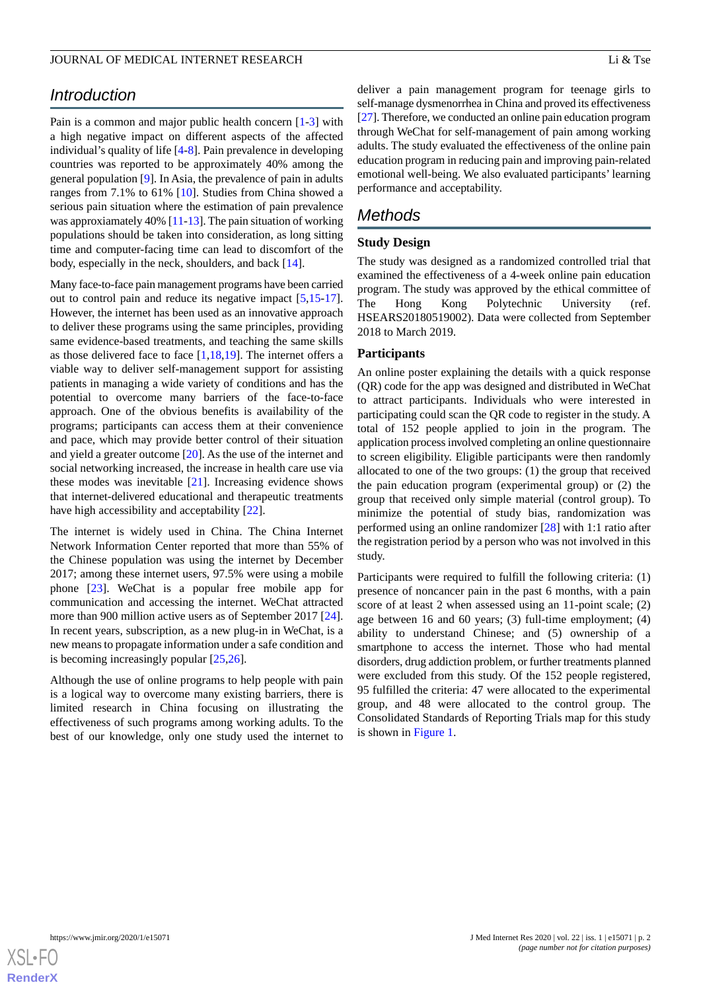# *Introduction*

Pain is a common and major public health concern [\[1](#page-7-0)-[3\]](#page-7-1) with a high negative impact on different aspects of the affected individual's quality of life [\[4](#page-7-2)-[8\]](#page-7-3). Pain prevalence in developing countries was reported to be approximately 40% among the general population [\[9](#page-7-4)]. In Asia, the prevalence of pain in adults ranges from 7.1% to 61% [\[10](#page-7-5)]. Studies from China showed a serious pain situation where the estimation of pain prevalence was approxiamately 40% [\[11](#page-7-6)[-13](#page-7-7)]. The pain situation of working populations should be taken into consideration, as long sitting time and computer-facing time can lead to discomfort of the body, especially in the neck, shoulders, and back [\[14](#page-8-0)].

Many face-to-face pain management programs have been carried out to control pain and reduce its negative impact [[5](#page-7-8)[,15](#page-8-1)-[17\]](#page-8-2). However, the internet has been used as an innovative approach to deliver these programs using the same principles, providing same evidence-based treatments, and teaching the same skills as those delivered face to face [[1,](#page-7-0)[18](#page-8-3),[19\]](#page-8-4). The internet offers a viable way to deliver self-management support for assisting patients in managing a wide variety of conditions and has the potential to overcome many barriers of the face-to-face approach. One of the obvious benefits is availability of the programs; participants can access them at their convenience and pace, which may provide better control of their situation and yield a greater outcome [\[20](#page-8-5)]. As the use of the internet and social networking increased, the increase in health care use via these modes was inevitable [[21\]](#page-8-6). Increasing evidence shows that internet-delivered educational and therapeutic treatments have high accessibility and acceptability [[22\]](#page-8-7).

The internet is widely used in China. The China Internet Network Information Center reported that more than 55% of the Chinese population was using the internet by December 2017; among these internet users, 97.5% were using a mobile phone [\[23](#page-8-8)]. WeChat is a popular free mobile app for communication and accessing the internet. WeChat attracted more than 900 million active users as of September 2017 [[24\]](#page-8-9). In recent years, subscription, as a new plug-in in WeChat, is a new means to propagate information under a safe condition and is becoming increasingly popular [\[25](#page-8-10),[26\]](#page-8-11).

Although the use of online programs to help people with pain is a logical way to overcome many existing barriers, there is limited research in China focusing on illustrating the effectiveness of such programs among working adults. To the best of our knowledge, only one study used the internet to

deliver a pain management program for teenage girls to self-manage dysmenorrhea in China and proved its effectiveness [[27\]](#page-8-12). Therefore, we conducted an online pain education program through WeChat for self-management of pain among working adults. The study evaluated the effectiveness of the online pain education program in reducing pain and improving pain-related emotional well-being. We also evaluated participants' learning performance and acceptability.

# *Methods*

## **Study Design**

The study was designed as a randomized controlled trial that examined the effectiveness of a 4-week online pain education program. The study was approved by the ethical committee of The Hong Kong Polytechnic University (ref. HSEARS20180519002). Data were collected from September 2018 to March 2019.

#### **Participants**

An online poster explaining the details with a quick response (QR) code for the app was designed and distributed in WeChat to attract participants. Individuals who were interested in participating could scan the QR code to register in the study. A total of 152 people applied to join in the program. The application process involved completing an online questionnaire to screen eligibility. Eligible participants were then randomly allocated to one of the two groups: (1) the group that received the pain education program (experimental group) or (2) the group that received only simple material (control group). To minimize the potential of study bias, randomization was performed using an online randomizer [\[28](#page-8-13)] with 1:1 ratio after the registration period by a person who was not involved in this study.

Participants were required to fulfill the following criteria: (1) presence of noncancer pain in the past 6 months, with a pain score of at least 2 when assessed using an 11-point scale; (2) age between 16 and 60 years; (3) full-time employment; (4) ability to understand Chinese; and (5) ownership of a smartphone to access the internet. Those who had mental disorders, drug addiction problem, or further treatments planned were excluded from this study. Of the 152 people registered, 95 fulfilled the criteria: 47 were allocated to the experimental group, and 48 were allocated to the control group. The Consolidated Standards of Reporting Trials map for this study is shown in [Figure 1](#page-2-0).

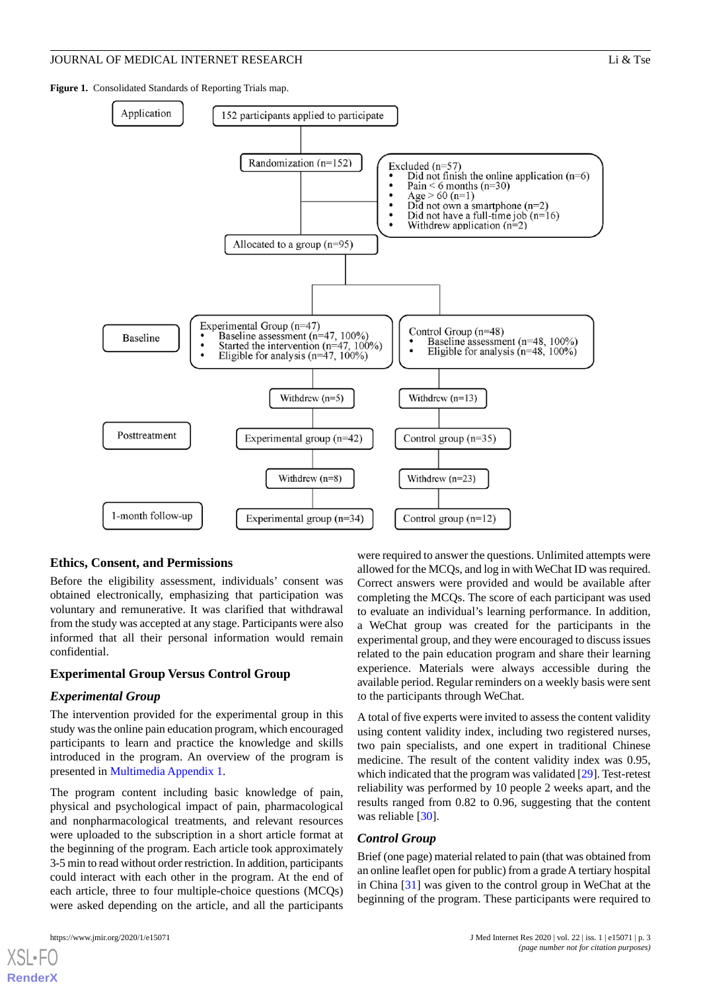<span id="page-2-0"></span>**Figure 1.** Consolidated Standards of Reporting Trials map.



#### **Ethics, Consent, and Permissions**

Before the eligibility assessment, individuals' consent was obtained electronically, emphasizing that participation was voluntary and remunerative. It was clarified that withdrawal from the study was accepted at any stage. Participants were also informed that all their personal information would remain confidential.

#### **Experimental Group Versus Control Group**

#### *Experimental Group*

The intervention provided for the experimental group in this study was the online pain education program, which encouraged participants to learn and practice the knowledge and skills introduced in the program. An overview of the program is presented in [Multimedia Appendix 1](#page-7-9).

The program content including basic knowledge of pain, physical and psychological impact of pain, pharmacological and nonpharmacological treatments, and relevant resources were uploaded to the subscription in a short article format at the beginning of the program. Each article took approximately 3-5 min to read without order restriction. In addition, participants could interact with each other in the program. At the end of each article, three to four multiple-choice questions (MCQs) were asked depending on the article, and all the participants

[XSL](http://www.w3.org/Style/XSL)•FO **[RenderX](http://www.renderx.com/)**

were required to answer the questions. Unlimited attempts were allowed for the MCQs, and log in with WeChat ID was required. Correct answers were provided and would be available after completing the MCQs. The score of each participant was used to evaluate an individual's learning performance. In addition, a WeChat group was created for the participants in the experimental group, and they were encouraged to discuss issues related to the pain education program and share their learning experience. Materials were always accessible during the available period. Regular reminders on a weekly basis were sent to the participants through WeChat.

A total of five experts were invited to assess the content validity using content validity index, including two registered nurses, two pain specialists, and one expert in traditional Chinese medicine. The result of the content validity index was 0.95, which indicated that the program was validated [[29\]](#page-8-14). Test-retest reliability was performed by 10 people 2 weeks apart, and the results ranged from 0.82 to 0.96, suggesting that the content was reliable [\[30](#page-8-15)].

#### *Control Group*

Brief (one page) material related to pain (that was obtained from an online leaflet open for public) from a grade A tertiary hospital in China [\[31](#page-8-16)] was given to the control group in WeChat at the beginning of the program. These participants were required to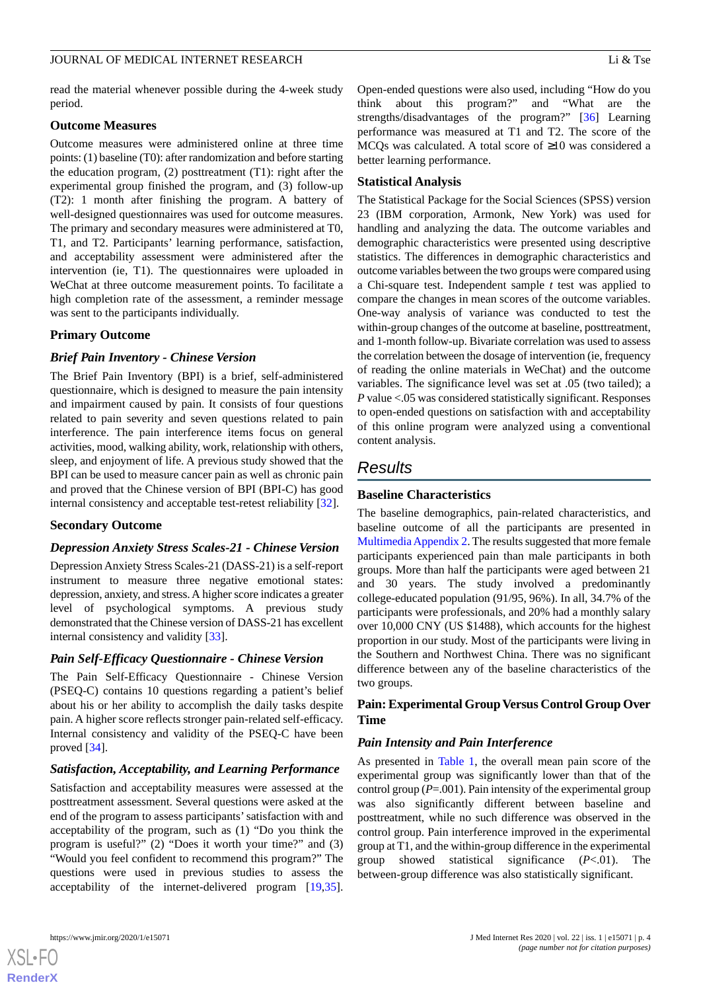#### **Outcome Measures**

Outcome measures were administered online at three time points: (1) baseline (T0): after randomization and before starting the education program, (2) posttreatment (T1): right after the experimental group finished the program, and (3) follow-up (T2): 1 month after finishing the program. A battery of well-designed questionnaires was used for outcome measures. The primary and secondary measures were administered at T0, T1, and T2. Participants' learning performance, satisfaction, and acceptability assessment were administered after the intervention (ie, T1). The questionnaires were uploaded in WeChat at three outcome measurement points. To facilitate a high completion rate of the assessment, a reminder message was sent to the participants individually.

#### **Primary Outcome**

## *Brief Pain Inventory - Chinese Version*

The Brief Pain Inventory (BPI) is a brief, self-administered questionnaire, which is designed to measure the pain intensity and impairment caused by pain. It consists of four questions related to pain severity and seven questions related to pain interference. The pain interference items focus on general activities, mood, walking ability, work, relationship with others, sleep, and enjoyment of life. A previous study showed that the BPI can be used to measure cancer pain as well as chronic pain and proved that the Chinese version of BPI (BPI-C) has good internal consistency and acceptable test-retest reliability [\[32](#page-8-17)].

#### **Secondary Outcome**

#### *Depression Anxiety Stress Scales-21 - Chinese Version*

Depression Anxiety Stress Scales-21 (DASS-21) is a self-report instrument to measure three negative emotional states: depression, anxiety, and stress. A higher score indicates a greater level of psychological symptoms. A previous study demonstrated that the Chinese version of DASS-21 has excellent internal consistency and validity [[33\]](#page-8-18).

#### *Pain Self-Efficacy Questionnaire - Chinese Version*

The Pain Self-Efficacy Questionnaire - Chinese Version (PSEQ-C) contains 10 questions regarding a patient's belief about his or her ability to accomplish the daily tasks despite pain. A higher score reflects stronger pain-related self-efficacy. Internal consistency and validity of the PSEQ-C have been proved [[34\]](#page-8-19).

#### *Satisfaction, Acceptability, and Learning Performance*

Satisfaction and acceptability measures were assessed at the posttreatment assessment. Several questions were asked at the end of the program to assess participants' satisfaction with and acceptability of the program, such as (1) "Do you think the program is useful?" (2) "Does it worth your time?" and (3) "Would you feel confident to recommend this program?" The questions were used in previous studies to assess the acceptability of the internet-delivered program [\[19](#page-8-4),[35\]](#page-8-20).

Open-ended questions were also used, including "How do you think about this program?" and "What are the strengths/disadvantages of the program?" [[36\]](#page-8-21) Learning performance was measured at T1 and T2. The score of the MCQs was calculated. A total score of ≥10 was considered a better learning performance.

#### **Statistical Analysis**

The Statistical Package for the Social Sciences (SPSS) version 23 (IBM corporation, Armonk, New York) was used for handling and analyzing the data. The outcome variables and demographic characteristics were presented using descriptive statistics. The differences in demographic characteristics and outcome variables between the two groups were compared using a Chi-square test. Independent sample *t* test was applied to compare the changes in mean scores of the outcome variables. One-way analysis of variance was conducted to test the within-group changes of the outcome at baseline, posttreatment, and 1-month follow-up. Bivariate correlation was used to assess the correlation between the dosage of intervention (ie, frequency of reading the online materials in WeChat) and the outcome variables. The significance level was set at .05 (two tailed); a *P* value <.05 was considered statistically significant. Responses to open-ended questions on satisfaction with and acceptability of this online program were analyzed using a conventional content analysis.

# *Results*

#### **Baseline Characteristics**

The baseline demographics, pain-related characteristics, and baseline outcome of all the participants are presented in [Multimedia Appendix 2.](#page-7-10) The results suggested that more female participants experienced pain than male participants in both groups. More than half the participants were aged between 21 and 30 years. The study involved a predominantly college-educated population (91/95, 96%). In all, 34.7% of the participants were professionals, and 20% had a monthly salary over 10,000 CNY (US \$1488), which accounts for the highest proportion in our study. Most of the participants were living in the Southern and Northwest China. There was no significant difference between any of the baseline characteristics of the two groups.

## **Pain: Experimental Group Versus Control Group Over Time**

#### *Pain Intensity and Pain Interference*

As presented in [Table 1](#page-4-0), the overall mean pain score of the experimental group was significantly lower than that of the control group (*P*=.001). Pain intensity of the experimental group was also significantly different between baseline and posttreatment, while no such difference was observed in the control group. Pain interference improved in the experimental group at T1, and the within-group difference in the experimental group showed statistical significance (*P*<.01). The between-group difference was also statistically significant.

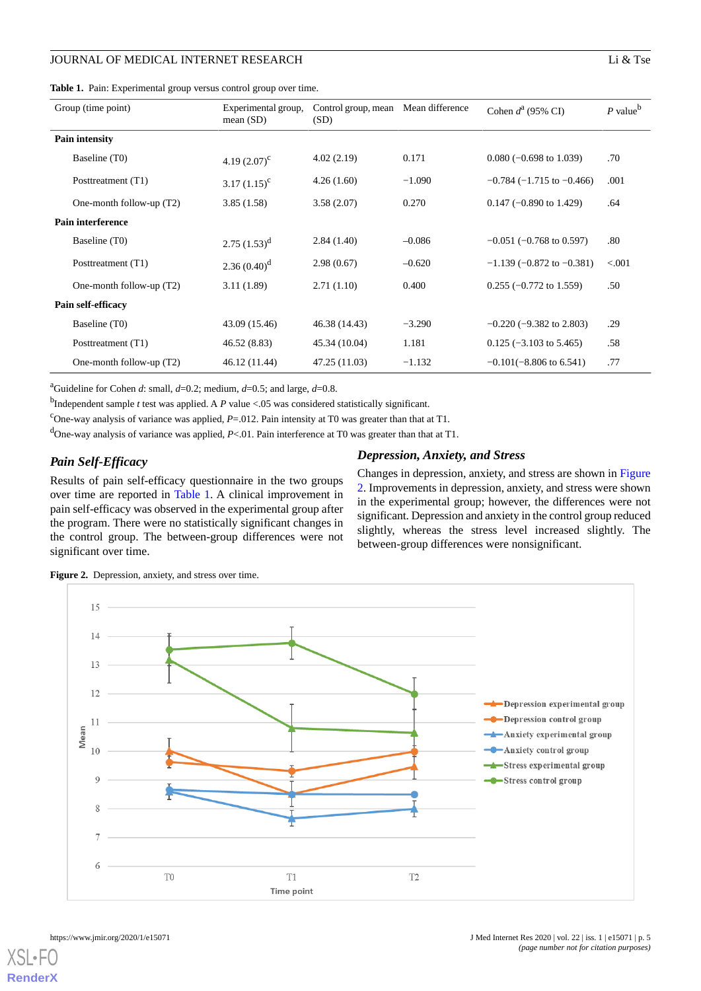<span id="page-4-0"></span>**Table 1.** Pain: Experimental group versus control group over time.

| Group (time point)         | Experimental group,<br>mean $(SD)$ | Control group, mean<br>(SD) | Mean difference | Cohen $d^a$ (95% CI)               | $P$ value <sup>b</sup> |
|----------------------------|------------------------------------|-----------------------------|-----------------|------------------------------------|------------------------|
| Pain intensity             |                                    |                             |                 |                                    |                        |
| Baseline (T0)              | 4.19 $(2.07)^{c}$                  | 4.02(2.19)                  | 0.171           | $0.080$ (-0.698 to 1.039)          | .70                    |
| Posttreatment (T1)         | $3.17 (1.15)^c$                    | 4.26(1.60)                  | $-1.090$        | $-0.784$ ( $-1.715$ to $-0.466$ )  | .001                   |
| One-month follow-up (T2)   | 3.85(1.58)                         | 3.58(2.07)                  | 0.270           | $0.147$ (-0.890 to 1.429)          | .64                    |
| Pain interference          |                                    |                             |                 |                                    |                        |
| Baseline (T0)              | $2.75(1.53)^d$                     | 2.84(1.40)                  | $-0.086$        | $-0.051$ ( $-0.768$ to 0.597)      | .80                    |
| Posttreatment (T1)         | 2.36 $(0.40)^d$                    | 2.98(0.67)                  | $-0.620$        | $-1.139$ ( $-0.872$ to $-0.381$ )  | < 0.001                |
| One-month follow-up (T2)   | 3.11(1.89)                         | 2.71(1.10)                  | 0.400           | $0.255$ (-0.772 to 1.559)          | .50                    |
| Pain self-efficacy         |                                    |                             |                 |                                    |                        |
| Baseline (T0)              | 43.09 (15.46)                      | 46.38 (14.43)               | $-3.290$        | $-0.220$ ( $-9.382$ to 2.803)      | .29                    |
| Posttreatment (T1)         | 46.52 (8.83)                       | 45.34 (10.04)               | 1.181           | $0.125$ (-3.103 to 5.465)          | .58                    |
| One-month follow-up $(T2)$ | 46.12 (11.44)                      | 47.25 (11.03)               | $-1.132$        | $-0.101(-8.806 \text{ to } 6.541)$ | .77                    |

<sup>a</sup>Guideline for Cohen *d*: small,  $d=0.2$ ; medium,  $d=0.5$ ; and large,  $d=0.8$ .

b Independent sample *t* test was applied. A *P* value <.05 was considered statistically significant.

<sup>c</sup>One-way analysis of variance was applied,  $P=012$ . Pain intensity at T0 was greater than that at T1.

<sup>d</sup>One-way analysis of variance was applied, *P*<.01. Pain interference at T0 was greater than that at T1.

# *Pain Self-Efficacy*

<span id="page-4-1"></span>Results of pain self-efficacy questionnaire in the two groups over time are reported in [Table 1](#page-4-0). A clinical improvement in pain self-efficacy was observed in the experimental group after the program. There were no statistically significant changes in the control group. The between-group differences were not significant over time.

#### *Depression, Anxiety, and Stress*

Changes in depression, anxiety, and stress are shown in [Figure](#page-4-1) [2.](#page-4-1) Improvements in depression, anxiety, and stress were shown in the experimental group; however, the differences were not significant. Depression and anxiety in the control group reduced slightly, whereas the stress level increased slightly. The between-group differences were nonsignificant.



**Figure 2.** Depression, anxiety, and stress over time.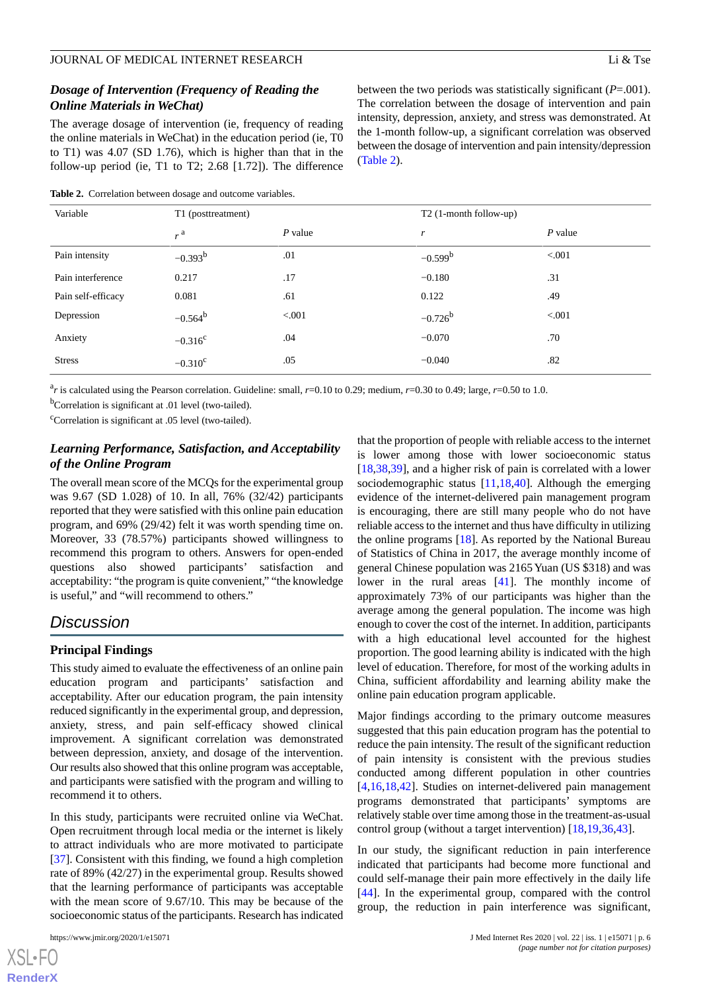# *Dosage of Intervention (Frequency of Reading the Online Materials in WeChat)*

The average dosage of intervention (ie, frequency of reading the online materials in WeChat) in the education period (ie, T0 to T1) was 4.07 (SD 1.76), which is higher than that in the follow-up period (ie, T1 to T2; 2.68 [1.72]). The difference

<span id="page-5-0"></span>**Table 2.** Correlation between dosage and outcome variables.

between the two periods was statistically significant (*P*=.001). The correlation between the dosage of intervention and pain intensity, depression, anxiety, and stress was demonstrated. At the 1-month follow-up, a significant correlation was observed between the dosage of intervention and pain intensity/depression ([Table 2](#page-5-0)).

| Variable           | T1 (posttreatment) |           | $T2$ (1-month follow-up) |           |
|--------------------|--------------------|-----------|--------------------------|-----------|
|                    | $_{r}$ a           | $P$ value | $\mathbf{r}$             | $P$ value |
| Pain intensity     | $-0.393^{b}$       | .01       | $-0.599^b$               | < .001    |
| Pain interference  | 0.217              | .17       | $-0.180$                 | .31       |
| Pain self-efficacy | 0.081              | .61       | 0.122                    | .49       |
| Depression         | $-0.564^b$         | < 0.001   | $-0.726^b$               | < 0.001   |
| Anxiety            | $-0.316^c$         | .04       | $-0.070$                 | .70       |
| <b>Stress</b>      | $-0.310^{\circ}$   | .05       | $-0.040$                 | .82       |

a *r* is calculated using the Pearson correlation. Guideline: small, *r*=0.10 to 0.29; medium, *r*=0.30 to 0.49; large, *r*=0.50 to 1.0.

 $<sup>b</sup>$ Correlation is significant at .01 level (two-tailed).</sup>

 $\text{°Correlation}$  is significant at .05 level (two-tailed).

# *Learning Performance, Satisfaction, and Acceptability of the Online Program*

The overall mean score of the MCQs for the experimental group was 9.67 (SD 1.028) of 10. In all, 76% (32/42) participants reported that they were satisfied with this online pain education program, and 69% (29/42) felt it was worth spending time on. Moreover, 33 (78.57%) participants showed willingness to recommend this program to others. Answers for open-ended questions also showed participants' satisfaction and acceptability: "the program is quite convenient," "the knowledge is useful," and "will recommend to others."

# *Discussion*

# **Principal Findings**

This study aimed to evaluate the effectiveness of an online pain education program and participants' satisfaction and acceptability. After our education program, the pain intensity reduced significantly in the experimental group, and depression, anxiety, stress, and pain self-efficacy showed clinical improvement. A significant correlation was demonstrated between depression, anxiety, and dosage of the intervention. Our results also showed that this online program was acceptable, and participants were satisfied with the program and willing to recommend it to others.

In this study, participants were recruited online via WeChat. Open recruitment through local media or the internet is likely to attract individuals who are more motivated to participate [[37\]](#page-8-22). Consistent with this finding, we found a high completion rate of 89% (42/27) in the experimental group. Results showed that the learning performance of participants was acceptable with the mean score of 9.67/10. This may be because of the socioeconomic status of the participants. Research has indicated

[XSL](http://www.w3.org/Style/XSL)•FO **[RenderX](http://www.renderx.com/)** that the proportion of people with reliable access to the internet is lower among those with lower socioeconomic status [[18,](#page-8-3)[38,](#page-8-23)[39\]](#page-8-24), and a higher risk of pain is correlated with a lower sociodemographic status [[11](#page-7-6)[,18](#page-8-3),[40\]](#page-9-0). Although the emerging evidence of the internet-delivered pain management program is encouraging, there are still many people who do not have reliable access to the internet and thus have difficulty in utilizing the online programs [\[18](#page-8-3)]. As reported by the National Bureau of Statistics of China in 2017, the average monthly income of general Chinese population was 2165 Yuan (US \$318) and was lower in the rural areas [\[41](#page-9-1)]. The monthly income of approximately 73% of our participants was higher than the average among the general population. The income was high enough to cover the cost of the internet. In addition, participants with a high educational level accounted for the highest proportion. The good learning ability is indicated with the high level of education. Therefore, for most of the working adults in China, sufficient affordability and learning ability make the online pain education program applicable.

Major findings according to the primary outcome measures suggested that this pain education program has the potential to reduce the pain intensity. The result of the significant reduction of pain intensity is consistent with the previous studies conducted among different population in other countries [[4](#page-7-2)[,16](#page-8-25),[18,](#page-8-3)[42\]](#page-9-2). Studies on internet-delivered pain management programs demonstrated that participants' symptoms are relatively stable over time among those in the treatment-as-usual control group (without a target intervention) [\[18](#page-8-3),[19,](#page-8-4)[36](#page-8-21),[43\]](#page-9-3).

In our study, the significant reduction in pain interference indicated that participants had become more functional and could self-manage their pain more effectively in the daily life [[44\]](#page-9-4). In the experimental group, compared with the control group, the reduction in pain interference was significant,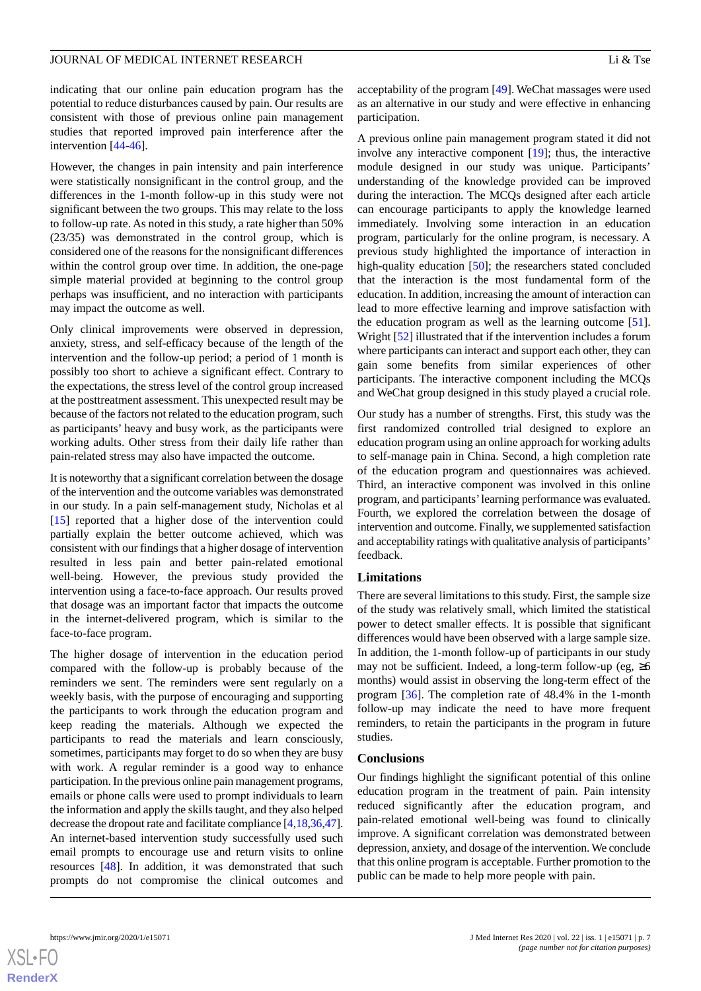indicating that our online pain education program has the potential to reduce disturbances caused by pain. Our results are consistent with those of previous online pain management studies that reported improved pain interference after the intervention [\[44](#page-9-4)-[46\]](#page-9-5).

However, the changes in pain intensity and pain interference were statistically nonsignificant in the control group, and the differences in the 1-month follow-up in this study were not significant between the two groups. This may relate to the loss to follow-up rate. As noted in this study, a rate higher than 50% (23/35) was demonstrated in the control group, which is considered one of the reasons for the nonsignificant differences within the control group over time. In addition, the one-page simple material provided at beginning to the control group perhaps was insufficient, and no interaction with participants may impact the outcome as well.

Only clinical improvements were observed in depression, anxiety, stress, and self-efficacy because of the length of the intervention and the follow-up period; a period of 1 month is possibly too short to achieve a significant effect. Contrary to the expectations, the stress level of the control group increased at the posttreatment assessment. This unexpected result may be because of the factors not related to the education program, such as participants' heavy and busy work, as the participants were working adults. Other stress from their daily life rather than pain-related stress may also have impacted the outcome.

It is noteworthy that a significant correlation between the dosage of the intervention and the outcome variables was demonstrated in our study. In a pain self-management study, Nicholas et al [[15\]](#page-8-1) reported that a higher dose of the intervention could partially explain the better outcome achieved, which was consistent with our findings that a higher dosage of intervention resulted in less pain and better pain-related emotional well-being. However, the previous study provided the intervention using a face-to-face approach. Our results proved that dosage was an important factor that impacts the outcome in the internet-delivered program, which is similar to the face-to-face program.

The higher dosage of intervention in the education period compared with the follow-up is probably because of the reminders we sent. The reminders were sent regularly on a weekly basis, with the purpose of encouraging and supporting the participants to work through the education program and keep reading the materials. Although we expected the participants to read the materials and learn consciously, sometimes, participants may forget to do so when they are busy with work. A regular reminder is a good way to enhance participation. In the previous online pain management programs, emails or phone calls were used to prompt individuals to learn the information and apply the skills taught, and they also helped decrease the dropout rate and facilitate compliance [\[4](#page-7-2),[18](#page-8-3),[36,](#page-8-21)[47\]](#page-9-6). An internet-based intervention study successfully used such email prompts to encourage use and return visits to online resources [[48\]](#page-9-7). In addition, it was demonstrated that such prompts do not compromise the clinical outcomes and

acceptability of the program [\[49](#page-9-8)]. WeChat massages were used as an alternative in our study and were effective in enhancing participation.

A previous online pain management program stated it did not involve any interactive component [\[19](#page-8-4)]; thus, the interactive module designed in our study was unique. Participants' understanding of the knowledge provided can be improved during the interaction. The MCQs designed after each article can encourage participants to apply the knowledge learned immediately. Involving some interaction in an education program, particularly for the online program, is necessary. A previous study highlighted the importance of interaction in high-quality education [[50\]](#page-9-9); the researchers stated concluded that the interaction is the most fundamental form of the education. In addition, increasing the amount of interaction can lead to more effective learning and improve satisfaction with the education program as well as the learning outcome [[51\]](#page-9-10). Wright [[52\]](#page-9-11) illustrated that if the intervention includes a forum where participants can interact and support each other, they can gain some benefits from similar experiences of other participants. The interactive component including the MCQs and WeChat group designed in this study played a crucial role.

Our study has a number of strengths. First, this study was the first randomized controlled trial designed to explore an education program using an online approach for working adults to self-manage pain in China. Second, a high completion rate of the education program and questionnaires was achieved. Third, an interactive component was involved in this online program, and participants' learning performance was evaluated. Fourth, we explored the correlation between the dosage of intervention and outcome. Finally, we supplemented satisfaction and acceptability ratings with qualitative analysis of participants' feedback.

#### **Limitations**

There are several limitations to this study. First, the sample size of the study was relatively small, which limited the statistical power to detect smaller effects. It is possible that significant differences would have been observed with a large sample size. In addition, the 1-month follow-up of participants in our study may not be sufficient. Indeed, a long-term follow-up (eg,  $\geq 6$ ) months) would assist in observing the long-term effect of the program [\[36](#page-8-21)]. The completion rate of 48.4% in the 1-month follow-up may indicate the need to have more frequent reminders, to retain the participants in the program in future studies.

#### **Conclusions**

Our findings highlight the significant potential of this online education program in the treatment of pain. Pain intensity reduced significantly after the education program, and pain-related emotional well-being was found to clinically improve. A significant correlation was demonstrated between depression, anxiety, and dosage of the intervention. We conclude that this online program is acceptable. Further promotion to the public can be made to help more people with pain.

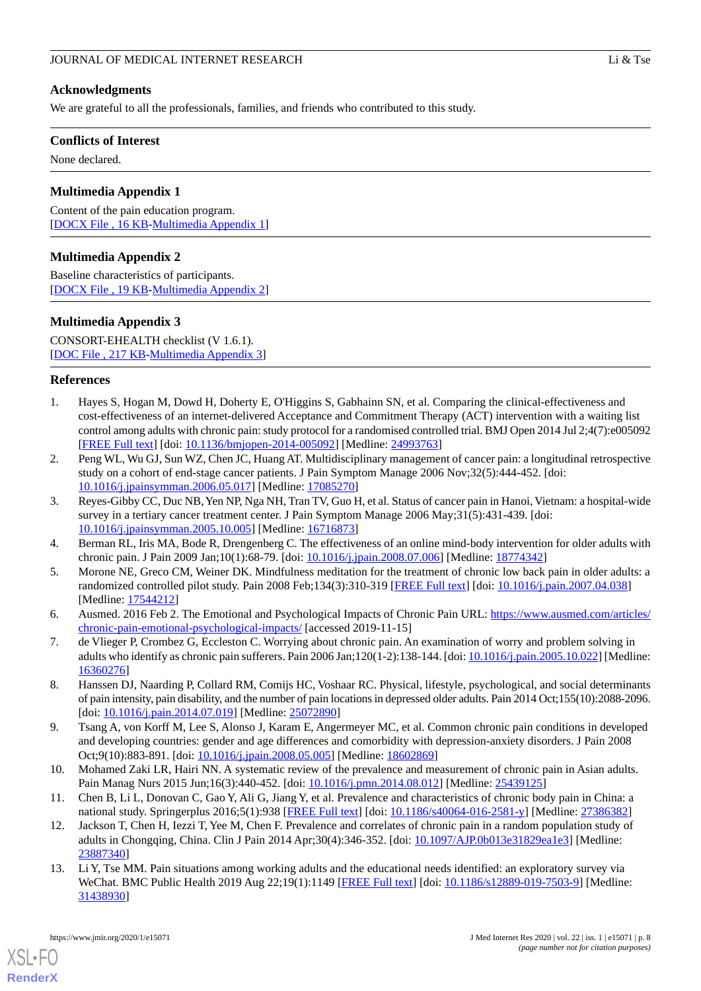# **Acknowledgments**

We are grateful to all the professionals, families, and friends who contributed to this study.

#### **Conflicts of Interest**

<span id="page-7-9"></span>None declared.

# **Multimedia Appendix 1**

<span id="page-7-10"></span>Content of the pain education program. [[DOCX File , 16 KB](https://jmir.org/api/download?alt_name=jmir_v22i1e15071_app1.docx&filename=ae6172481ed352a69293630353619b76.docx)-[Multimedia Appendix 1](https://jmir.org/api/download?alt_name=jmir_v22i1e15071_app1.docx&filename=ae6172481ed352a69293630353619b76.docx)]

# **Multimedia Appendix 2**

Baseline characteristics of participants. [[DOCX File , 19 KB](https://jmir.org/api/download?alt_name=jmir_v22i1e15071_app2.docx&filename=813cb631603668779d35cd1485e20b18.docx)-[Multimedia Appendix 2](https://jmir.org/api/download?alt_name=jmir_v22i1e15071_app2.docx&filename=813cb631603668779d35cd1485e20b18.docx)]

## **Multimedia Appendix 3**

CONSORT-EHEALTH checklist (V 1.6.1). [[DOC File , 217 KB-Multimedia Appendix 3\]](https://jmir.org/api/download?alt_name=jmir_v22i1e15071_app3.doc&filename=27c8afbfcdfa1c31a8e557ab646a991e.doc)

#### <span id="page-7-0"></span>**References**

- 1. Hayes S, Hogan M, Dowd H, Doherty E, O'Higgins S, Gabhainn SN, et al. Comparing the clinical-effectiveness and cost-effectiveness of an internet-delivered Acceptance and Commitment Therapy (ACT) intervention with a waiting list control among adults with chronic pain: study protocol for a randomised controlled trial. BMJ Open 2014 Jul 2;4(7):e005092 [[FREE Full text](http://bmjopen.bmj.com/cgi/pmidlookup?view=long&pmid=24993763)] [doi: [10.1136/bmjopen-2014-005092](http://dx.doi.org/10.1136/bmjopen-2014-005092)] [Medline: [24993763](http://www.ncbi.nlm.nih.gov/entrez/query.fcgi?cmd=Retrieve&db=PubMed&list_uids=24993763&dopt=Abstract)]
- <span id="page-7-1"></span>2. Peng WL, Wu GJ, Sun WZ, Chen JC, Huang AT. Multidisciplinary management of cancer pain: a longitudinal retrospective study on a cohort of end-stage cancer patients. J Pain Symptom Manage 2006 Nov;32(5):444-452. [doi: [10.1016/j.jpainsymman.2006.05.017\]](http://dx.doi.org/10.1016/j.jpainsymman.2006.05.017) [Medline: [17085270](http://www.ncbi.nlm.nih.gov/entrez/query.fcgi?cmd=Retrieve&db=PubMed&list_uids=17085270&dopt=Abstract)]
- <span id="page-7-8"></span><span id="page-7-2"></span>3. Reyes-Gibby CC, Duc NB, Yen NP, Nga NH, Tran TV, Guo H, et al. Status of cancer pain in Hanoi, Vietnam: a hospital-wide survey in a tertiary cancer treatment center. J Pain Symptom Manage 2006 May;31(5):431-439. [doi: [10.1016/j.jpainsymman.2005.10.005\]](http://dx.doi.org/10.1016/j.jpainsymman.2005.10.005) [Medline: [16716873](http://www.ncbi.nlm.nih.gov/entrez/query.fcgi?cmd=Retrieve&db=PubMed&list_uids=16716873&dopt=Abstract)]
- 4. Berman RL, Iris MA, Bode R, Drengenberg C. The effectiveness of an online mind-body intervention for older adults with chronic pain. J Pain 2009 Jan;10(1):68-79. [doi: [10.1016/j.jpain.2008.07.006\]](http://dx.doi.org/10.1016/j.jpain.2008.07.006) [Medline: [18774342](http://www.ncbi.nlm.nih.gov/entrez/query.fcgi?cmd=Retrieve&db=PubMed&list_uids=18774342&dopt=Abstract)]
- 5. Morone NE, Greco CM, Weiner DK. Mindfulness meditation for the treatment of chronic low back pain in older adults: a randomized controlled pilot study. Pain 2008 Feb;134(3):310-319 [\[FREE Full text\]](http://europepmc.org/abstract/MED/17544212) [doi: [10.1016/j.pain.2007.04.038](http://dx.doi.org/10.1016/j.pain.2007.04.038)] [Medline: [17544212](http://www.ncbi.nlm.nih.gov/entrez/query.fcgi?cmd=Retrieve&db=PubMed&list_uids=17544212&dopt=Abstract)]
- <span id="page-7-3"></span>6. Ausmed. 2016 Feb 2. The Emotional and Psychological Impacts of Chronic Pain URL: [https://www.ausmed.com/articles/](https://www.ausmed.com/articles/chronic-pain-emotional-psychological-impacts/) [chronic-pain-emotional-psychological-impacts/](https://www.ausmed.com/articles/chronic-pain-emotional-psychological-impacts/) [accessed 2019-11-15]
- <span id="page-7-4"></span>7. de Vlieger P, Crombez G, Eccleston C. Worrying about chronic pain. An examination of worry and problem solving in adults who identify as chronic pain sufferers. Pain 2006 Jan;120(1-2):138-144. [doi: [10.1016/j.pain.2005.10.022](http://dx.doi.org/10.1016/j.pain.2005.10.022)] [Medline: [16360276](http://www.ncbi.nlm.nih.gov/entrez/query.fcgi?cmd=Retrieve&db=PubMed&list_uids=16360276&dopt=Abstract)]
- <span id="page-7-5"></span>8. Hanssen DJ, Naarding P, Collard RM, Comijs HC, Voshaar RC. Physical, lifestyle, psychological, and social determinants of pain intensity, pain disability, and the number of pain locations in depressed older adults. Pain 2014 Oct;155(10):2088-2096. [doi: [10.1016/j.pain.2014.07.019](http://dx.doi.org/10.1016/j.pain.2014.07.019)] [Medline: [25072890\]](http://www.ncbi.nlm.nih.gov/entrez/query.fcgi?cmd=Retrieve&db=PubMed&list_uids=25072890&dopt=Abstract)
- <span id="page-7-6"></span>9. Tsang A, von Korff M, Lee S, Alonso J, Karam E, Angermeyer MC, et al. Common chronic pain conditions in developed and developing countries: gender and age differences and comorbidity with depression-anxiety disorders. J Pain 2008 Oct;9(10):883-891. [doi: [10.1016/j.jpain.2008.05.005\]](http://dx.doi.org/10.1016/j.jpain.2008.05.005) [Medline: [18602869\]](http://www.ncbi.nlm.nih.gov/entrez/query.fcgi?cmd=Retrieve&db=PubMed&list_uids=18602869&dopt=Abstract)
- <span id="page-7-7"></span>10. Mohamed Zaki LR, Hairi NN. A systematic review of the prevalence and measurement of chronic pain in Asian adults. Pain Manag Nurs 2015 Jun;16(3):440-452. [doi: [10.1016/j.pmn.2014.08.012](http://dx.doi.org/10.1016/j.pmn.2014.08.012)] [Medline: [25439125\]](http://www.ncbi.nlm.nih.gov/entrez/query.fcgi?cmd=Retrieve&db=PubMed&list_uids=25439125&dopt=Abstract)
- 11. Chen B, Li L, Donovan C, Gao Y, Ali G, Jiang Y, et al. Prevalence and characteristics of chronic body pain in China: a national study. Springerplus 2016;5(1):938 [[FREE Full text](http://europepmc.org/abstract/MED/27386382)] [doi: [10.1186/s40064-016-2581-y\]](http://dx.doi.org/10.1186/s40064-016-2581-y) [Medline: [27386382\]](http://www.ncbi.nlm.nih.gov/entrez/query.fcgi?cmd=Retrieve&db=PubMed&list_uids=27386382&dopt=Abstract)
- 12. Jackson T, Chen H, Iezzi T, Yee M, Chen F. Prevalence and correlates of chronic pain in a random population study of adults in Chongqing, China. Clin J Pain 2014 Apr;30(4):346-352. [doi: [10.1097/AJP.0b013e31829ea1e3](http://dx.doi.org/10.1097/AJP.0b013e31829ea1e3)] [Medline: [23887340](http://www.ncbi.nlm.nih.gov/entrez/query.fcgi?cmd=Retrieve&db=PubMed&list_uids=23887340&dopt=Abstract)]
- 13. Li Y, Tse MM. Pain situations among working adults and the educational needs identified: an exploratory survey via WeChat. BMC Public Health 2019 Aug 22;19(1):1149 [\[FREE Full text\]](https://bmcpublichealth.biomedcentral.com/articles/10.1186/s12889-019-7503-9) [doi: [10.1186/s12889-019-7503-9\]](http://dx.doi.org/10.1186/s12889-019-7503-9) [Medline: [31438930](http://www.ncbi.nlm.nih.gov/entrez/query.fcgi?cmd=Retrieve&db=PubMed&list_uids=31438930&dopt=Abstract)]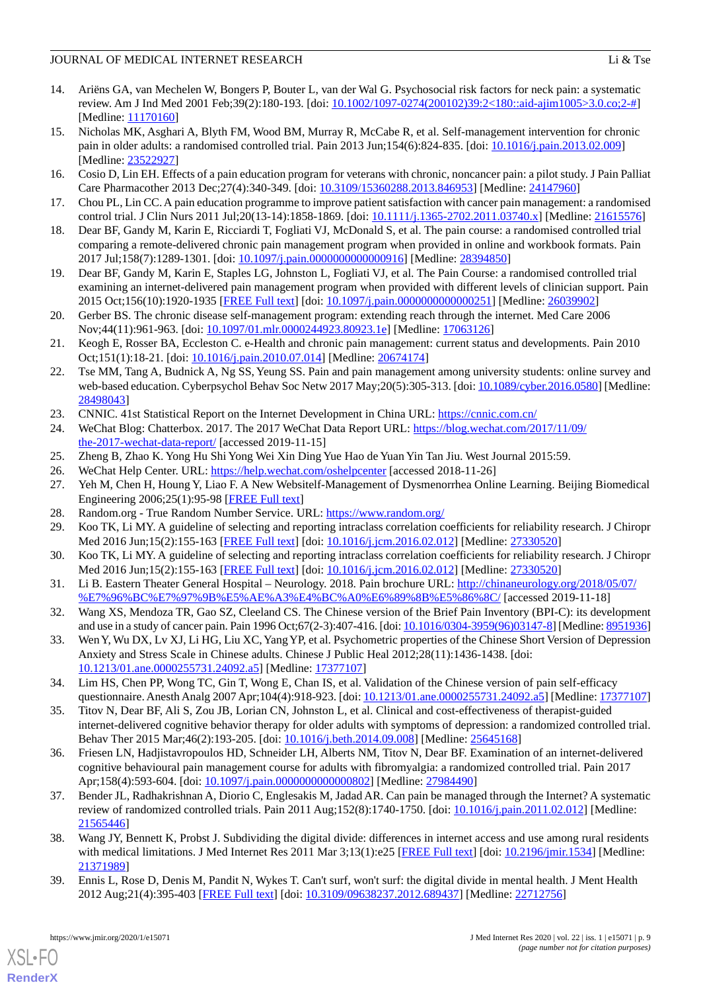- 
- <span id="page-8-0"></span>14. Ariëns GA, van Mechelen W, Bongers P, Bouter L, van der Wal G. Psychosocial risk factors for neck pain: a systematic review. Am J Ind Med 2001 Feb;39(2):180-193. [doi: [10.1002/1097-0274\(200102\)39:2<180::aid-ajim1005>3.0.co;2-#\]](http://dx.doi.org/10.1002/1097-0274(200102)39:2<180::aid-ajim1005>3.0.co;2-#) [Medline: [11170160](http://www.ncbi.nlm.nih.gov/entrez/query.fcgi?cmd=Retrieve&db=PubMed&list_uids=11170160&dopt=Abstract)]
- <span id="page-8-1"></span>15. Nicholas MK, Asghari A, Blyth FM, Wood BM, Murray R, McCabe R, et al. Self-management intervention for chronic pain in older adults: a randomised controlled trial. Pain 2013 Jun;154(6):824-835. [doi: [10.1016/j.pain.2013.02.009\]](http://dx.doi.org/10.1016/j.pain.2013.02.009) [Medline: [23522927](http://www.ncbi.nlm.nih.gov/entrez/query.fcgi?cmd=Retrieve&db=PubMed&list_uids=23522927&dopt=Abstract)]
- <span id="page-8-25"></span><span id="page-8-2"></span>16. Cosio D, Lin EH. Effects of a pain education program for veterans with chronic, noncancer pain: a pilot study. J Pain Palliat Care Pharmacother 2013 Dec;27(4):340-349. [doi: [10.3109/15360288.2013.846953\]](http://dx.doi.org/10.3109/15360288.2013.846953) [Medline: [24147960\]](http://www.ncbi.nlm.nih.gov/entrez/query.fcgi?cmd=Retrieve&db=PubMed&list_uids=24147960&dopt=Abstract)
- <span id="page-8-3"></span>17. Chou PL, Lin CC. A pain education programme to improve patient satisfaction with cancer pain management: a randomised control trial. J Clin Nurs 2011 Jul;20(13-14):1858-1869. [doi: [10.1111/j.1365-2702.2011.03740.x](http://dx.doi.org/10.1111/j.1365-2702.2011.03740.x)] [Medline: [21615576](http://www.ncbi.nlm.nih.gov/entrez/query.fcgi?cmd=Retrieve&db=PubMed&list_uids=21615576&dopt=Abstract)]
- <span id="page-8-4"></span>18. Dear BF, Gandy M, Karin E, Ricciardi T, Fogliati VJ, McDonald S, et al. The pain course: a randomised controlled trial comparing a remote-delivered chronic pain management program when provided in online and workbook formats. Pain 2017 Jul;158(7):1289-1301. [doi: [10.1097/j.pain.0000000000000916\]](http://dx.doi.org/10.1097/j.pain.0000000000000916) [Medline: [28394850\]](http://www.ncbi.nlm.nih.gov/entrez/query.fcgi?cmd=Retrieve&db=PubMed&list_uids=28394850&dopt=Abstract)
- <span id="page-8-5"></span>19. Dear BF, Gandy M, Karin E, Staples LG, Johnston L, Fogliati VJ, et al. The Pain Course: a randomised controlled trial examining an internet-delivered pain management program when provided with different levels of clinician support. Pain 2015 Oct;156(10):1920-1935 [[FREE Full text](http://europepmc.org/abstract/MED/26039902)] [doi: [10.1097/j.pain.0000000000000251\]](http://dx.doi.org/10.1097/j.pain.0000000000000251) [Medline: [26039902\]](http://www.ncbi.nlm.nih.gov/entrez/query.fcgi?cmd=Retrieve&db=PubMed&list_uids=26039902&dopt=Abstract)
- <span id="page-8-6"></span>20. Gerber BS. The chronic disease self-management program: extending reach through the internet. Med Care 2006 Nov;44(11):961-963. [doi: [10.1097/01.mlr.0000244923.80923.1e\]](http://dx.doi.org/10.1097/01.mlr.0000244923.80923.1e) [Medline: [17063126](http://www.ncbi.nlm.nih.gov/entrez/query.fcgi?cmd=Retrieve&db=PubMed&list_uids=17063126&dopt=Abstract)]
- <span id="page-8-7"></span>21. Keogh E, Rosser BA, Eccleston C. e-Health and chronic pain management: current status and developments. Pain 2010 Oct;151(1):18-21. [doi: [10.1016/j.pain.2010.07.014](http://dx.doi.org/10.1016/j.pain.2010.07.014)] [Medline: [20674174\]](http://www.ncbi.nlm.nih.gov/entrez/query.fcgi?cmd=Retrieve&db=PubMed&list_uids=20674174&dopt=Abstract)
- <span id="page-8-9"></span><span id="page-8-8"></span>22. Tse MM, Tang A, Budnick A, Ng SS, Yeung SS. Pain and pain management among university students: online survey and web-based education. Cyberpsychol Behav Soc Netw 2017 May;20(5):305-313. [doi: [10.1089/cyber.2016.0580](http://dx.doi.org/10.1089/cyber.2016.0580)] [Medline: [28498043](http://www.ncbi.nlm.nih.gov/entrez/query.fcgi?cmd=Retrieve&db=PubMed&list_uids=28498043&dopt=Abstract)]
- <span id="page-8-10"></span>23. CNNIC. 41st Statistical Report on the Internet Development in China URL:<https://cnnic.com.cn/>
- <span id="page-8-12"></span><span id="page-8-11"></span>24. WeChat Blog: Chatterbox. 2017. The 2017 WeChat Data Report URL: [https://blog.wechat.com/2017/11/09/](https://blog.wechat.com/2017/11/09/the-2017-wechat-data-report/) [the-2017-wechat-data-report/](https://blog.wechat.com/2017/11/09/the-2017-wechat-data-report/) [accessed 2019-11-15]
- <span id="page-8-13"></span>25. Zheng B, Zhao K. Yong Hu Shi Yong Wei Xin Ding Yue Hao de Yuan Yin Tan Jiu. West Journal 2015:59.
- <span id="page-8-14"></span>26. WeChat Help Center. URL:<https://help.wechat.com/oshelpcenter> [accessed 2018-11-26]
- 27. Yeh M, Chen H, Houng Y, Liao F. A New Websitelf-Management of Dysmenorrhea Online Learning. Beijing Biomedical Engineering 2006;25(1):95-98 [\[FREE Full text\]](http://en.cnki.com.cn/Article_en/CJFDTotal-BJSC200601023.htm)
- <span id="page-8-15"></span>28. Random.org - True Random Number Service. URL:<https://www.random.org/>
- <span id="page-8-16"></span>29. Koo TK, Li MY. A guideline of selecting and reporting intraclass correlation coefficients for reliability research. J Chiropr Med 2016 Jun;15(2):155-163 [\[FREE Full text](http://europepmc.org/abstract/MED/27330520)] [doi: [10.1016/j.jcm.2016.02.012\]](http://dx.doi.org/10.1016/j.jcm.2016.02.012) [Medline: [27330520\]](http://www.ncbi.nlm.nih.gov/entrez/query.fcgi?cmd=Retrieve&db=PubMed&list_uids=27330520&dopt=Abstract)
- <span id="page-8-17"></span>30. Koo TK, Li MY. A guideline of selecting and reporting intraclass correlation coefficients for reliability research. J Chiropr Med 2016 Jun;15(2):155-163 [\[FREE Full text](http://europepmc.org/abstract/MED/27330520)] [doi: [10.1016/j.jcm.2016.02.012\]](http://dx.doi.org/10.1016/j.jcm.2016.02.012) [Medline: [27330520\]](http://www.ncbi.nlm.nih.gov/entrez/query.fcgi?cmd=Retrieve&db=PubMed&list_uids=27330520&dopt=Abstract)
- <span id="page-8-18"></span>31. Li B. Eastern Theater General Hospital – Neurology. 2018. Pain brochure URL: [http://chinaneurology.org/2018/05/07/](http://chinaneurology.org/2018/05/07/%E7%96%BC%E7%97%9B%E5%AE%A3%E4%BC%A0%E6%89%8B%E5%86%8C/) [%E7%96%BC%E7%97%9B%E5%AE%A3%E4%BC%A0%E6%89%8B%E5%86%8C/](http://chinaneurology.org/2018/05/07/%E7%96%BC%E7%97%9B%E5%AE%A3%E4%BC%A0%E6%89%8B%E5%86%8C/) [accessed 2019-11-18]
- <span id="page-8-19"></span>32. Wang XS, Mendoza TR, Gao SZ, Cleeland CS. The Chinese version of the Brief Pain Inventory (BPI-C): its development and use in a study of cancer pain. Pain 1996 Oct;67(2-3):407-416. [doi: [10.1016/0304-3959\(96\)03147-8](http://dx.doi.org/10.1016/0304-3959(96)03147-8)] [Medline: [8951936\]](http://www.ncbi.nlm.nih.gov/entrez/query.fcgi?cmd=Retrieve&db=PubMed&list_uids=8951936&dopt=Abstract)
- <span id="page-8-20"></span>33. Wen Y, Wu DX, Lv XJ, Li HG, Liu XC, Yang YP, et al. Psychometric properties of the Chinese Short Version of Depression Anxiety and Stress Scale in Chinese adults. Chinese J Public Heal 2012;28(11):1436-1438. [doi: [10.1213/01.ane.0000255731.24092.a5](http://dx.doi.org/10.1213/01.ane.0000255731.24092.a5)] [Medline: [17377107\]](http://www.ncbi.nlm.nih.gov/entrez/query.fcgi?cmd=Retrieve&db=PubMed&list_uids=17377107&dopt=Abstract)
- <span id="page-8-21"></span>34. Lim HS, Chen PP, Wong TC, Gin T, Wong E, Chan IS, et al. Validation of the Chinese version of pain self-efficacy questionnaire. Anesth Analg 2007 Apr;104(4):918-923. [doi: [10.1213/01.ane.0000255731.24092.a5](http://dx.doi.org/10.1213/01.ane.0000255731.24092.a5)] [Medline: [17377107](http://www.ncbi.nlm.nih.gov/entrez/query.fcgi?cmd=Retrieve&db=PubMed&list_uids=17377107&dopt=Abstract)]
- <span id="page-8-22"></span>35. Titov N, Dear BF, Ali S, Zou JB, Lorian CN, Johnston L, et al. Clinical and cost-effectiveness of therapist-guided internet-delivered cognitive behavior therapy for older adults with symptoms of depression: a randomized controlled trial. Behav Ther 2015 Mar;46(2):193-205. [doi: [10.1016/j.beth.2014.09.008\]](http://dx.doi.org/10.1016/j.beth.2014.09.008) [Medline: [25645168\]](http://www.ncbi.nlm.nih.gov/entrez/query.fcgi?cmd=Retrieve&db=PubMed&list_uids=25645168&dopt=Abstract)
- <span id="page-8-23"></span>36. Friesen LN, Hadjistavropoulos HD, Schneider LH, Alberts NM, Titov N, Dear BF. Examination of an internet-delivered cognitive behavioural pain management course for adults with fibromyalgia: a randomized controlled trial. Pain 2017 Apr;158(4):593-604. [doi: 10.1097/j.pain.0000000000000002] [Medline: [27984490](http://www.ncbi.nlm.nih.gov/entrez/query.fcgi?cmd=Retrieve&db=PubMed&list_uids=27984490&dopt=Abstract)]
- <span id="page-8-24"></span>37. Bender JL, Radhakrishnan A, Diorio C, Englesakis M, Jadad AR. Can pain be managed through the Internet? A systematic review of randomized controlled trials. Pain 2011 Aug;152(8):1740-1750. [doi: [10.1016/j.pain.2011.02.012\]](http://dx.doi.org/10.1016/j.pain.2011.02.012) [Medline: [21565446](http://www.ncbi.nlm.nih.gov/entrez/query.fcgi?cmd=Retrieve&db=PubMed&list_uids=21565446&dopt=Abstract)]
- 38. Wang JY, Bennett K, Probst J. Subdividing the digital divide: differences in internet access and use among rural residents with medical limitations. J Med Internet Res 2011 Mar 3;13(1):e25 [\[FREE Full text\]](https://www.jmir.org/2011/1/e25/) [doi: [10.2196/jmir.1534\]](http://dx.doi.org/10.2196/jmir.1534) [Medline: [21371989](http://www.ncbi.nlm.nih.gov/entrez/query.fcgi?cmd=Retrieve&db=PubMed&list_uids=21371989&dopt=Abstract)]
- 39. Ennis L, Rose D, Denis M, Pandit N, Wykes T. Can't surf, won't surf: the digital divide in mental health. J Ment Health 2012 Aug;21(4):395-403 [\[FREE Full text](http://europepmc.org/abstract/MED/22712756)] [doi: [10.3109/09638237.2012.689437\]](http://dx.doi.org/10.3109/09638237.2012.689437) [Medline: [22712756\]](http://www.ncbi.nlm.nih.gov/entrez/query.fcgi?cmd=Retrieve&db=PubMed&list_uids=22712756&dopt=Abstract)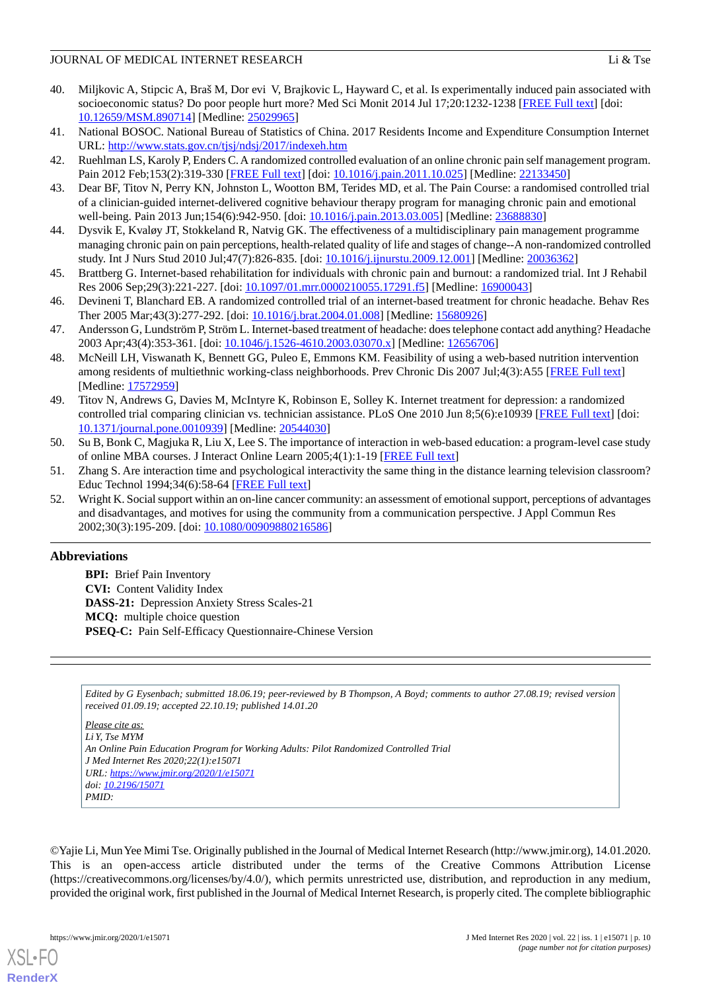- <span id="page-9-0"></span>40. Miljkovic A, Stipcic A, Braš M, Dor evi V, Brajkovic L, Hayward C, et al. Is experimentally induced pain associated with socioeconomic status? Do poor people hurt more? Med Sci Monit 2014 Jul 17;20:1232-1238 [[FREE Full text](https://www.medscimonit.com/download/index/idArt/890714)] [doi: [10.12659/MSM.890714\]](http://dx.doi.org/10.12659/MSM.890714) [Medline: [25029965](http://www.ncbi.nlm.nih.gov/entrez/query.fcgi?cmd=Retrieve&db=PubMed&list_uids=25029965&dopt=Abstract)]
- <span id="page-9-2"></span><span id="page-9-1"></span>41. National BOSOC. National Bureau of Statistics of China. 2017 Residents Income and Expenditure Consumption Internet URL: <http://www.stats.gov.cn/tjsj/ndsj/2017/indexeh.htm>
- <span id="page-9-3"></span>42. Ruehlman LS, Karoly P, Enders C. A randomized controlled evaluation of an online chronic pain self management program. Pain 2012 Feb;153(2):319-330 [[FREE Full text\]](http://europepmc.org/abstract/MED/22133450) [doi: [10.1016/j.pain.2011.10.025\]](http://dx.doi.org/10.1016/j.pain.2011.10.025) [Medline: [22133450](http://www.ncbi.nlm.nih.gov/entrez/query.fcgi?cmd=Retrieve&db=PubMed&list_uids=22133450&dopt=Abstract)]
- <span id="page-9-4"></span>43. Dear BF, Titov N, Perry KN, Johnston L, Wootton BM, Terides MD, et al. The Pain Course: a randomised controlled trial of a clinician-guided internet-delivered cognitive behaviour therapy program for managing chronic pain and emotional well-being. Pain 2013 Jun;154(6):942-950. [doi: [10.1016/j.pain.2013.03.005](http://dx.doi.org/10.1016/j.pain.2013.03.005)] [Medline: [23688830\]](http://www.ncbi.nlm.nih.gov/entrez/query.fcgi?cmd=Retrieve&db=PubMed&list_uids=23688830&dopt=Abstract)
- 44. Dysvik E, Kvaløy JT, Stokkeland R, Natvig GK. The effectiveness of a multidisciplinary pain management programme managing chronic pain on pain perceptions, health-related quality of life and stages of change--A non-randomized controlled study. Int J Nurs Stud 2010 Jul;47(7):826-835. [doi: [10.1016/j.ijnurstu.2009.12.001](http://dx.doi.org/10.1016/j.ijnurstu.2009.12.001)] [Medline: [20036362\]](http://www.ncbi.nlm.nih.gov/entrez/query.fcgi?cmd=Retrieve&db=PubMed&list_uids=20036362&dopt=Abstract)
- <span id="page-9-5"></span>45. Brattberg G. Internet-based rehabilitation for individuals with chronic pain and burnout: a randomized trial. Int J Rehabil Res 2006 Sep;29(3):221-227. [doi: [10.1097/01.mrr.0000210055.17291.f5\]](http://dx.doi.org/10.1097/01.mrr.0000210055.17291.f5) [Medline: [16900043\]](http://www.ncbi.nlm.nih.gov/entrez/query.fcgi?cmd=Retrieve&db=PubMed&list_uids=16900043&dopt=Abstract)
- <span id="page-9-6"></span>46. Devineni T, Blanchard EB. A randomized controlled trial of an internet-based treatment for chronic headache. Behav Res Ther 2005 Mar;43(3):277-292. [doi: [10.1016/j.brat.2004.01.008\]](http://dx.doi.org/10.1016/j.brat.2004.01.008) [Medline: [15680926](http://www.ncbi.nlm.nih.gov/entrez/query.fcgi?cmd=Retrieve&db=PubMed&list_uids=15680926&dopt=Abstract)]
- <span id="page-9-7"></span>47. Andersson G, Lundström P, Ström L. Internet-based treatment of headache: does telephone contact add anything? Headache 2003 Apr;43(4):353-361. [doi: [10.1046/j.1526-4610.2003.03070.x](http://dx.doi.org/10.1046/j.1526-4610.2003.03070.x)] [Medline: [12656706](http://www.ncbi.nlm.nih.gov/entrez/query.fcgi?cmd=Retrieve&db=PubMed&list_uids=12656706&dopt=Abstract)]
- <span id="page-9-8"></span>48. McNeill LH, Viswanath K, Bennett GG, Puleo E, Emmons KM. Feasibility of using a web-based nutrition intervention among residents of multiethnic working-class neighborhoods. Prev Chronic Dis 2007 Jul;4(3):A55 [\[FREE Full text\]](http://www.cdc.gov/pcd/issues/2007/jul/06_0072.htm) [Medline: [17572959](http://www.ncbi.nlm.nih.gov/entrez/query.fcgi?cmd=Retrieve&db=PubMed&list_uids=17572959&dopt=Abstract)]
- <span id="page-9-9"></span>49. Titov N, Andrews G, Davies M, McIntyre K, Robinson E, Solley K. Internet treatment for depression: a randomized controlled trial comparing clinician vs. technician assistance. PLoS One 2010 Jun 8;5(6):e10939 [\[FREE Full text\]](http://dx.plos.org/10.1371/journal.pone.0010939) [doi: [10.1371/journal.pone.0010939\]](http://dx.doi.org/10.1371/journal.pone.0010939) [Medline: [20544030](http://www.ncbi.nlm.nih.gov/entrez/query.fcgi?cmd=Retrieve&db=PubMed&list_uids=20544030&dopt=Abstract)]
- <span id="page-9-11"></span><span id="page-9-10"></span>50. Su B, Bonk C, Magjuka R, Liu X, Lee S. The importance of interaction in web-based education: a program-level case study of online MBA courses. J Interact Online Learn 2005;4(1):1-19 [\[FREE Full text](https://www.ncolr.org/jiol/issues/pdf/4.1.1.pdf)]
- 51. Zhang S. Are interaction time and psychological interactivity the same thing in the distance learning television classroom? Educ Technol 1994;34(6):58-64 [\[FREE Full text\]](https://www.jstor.org/stable/44428203?seq=1#page_scan_tab_contents)
- 52. Wright K. Social support within an on-line cancer community: an assessment of emotional support, perceptions of advantages and disadvantages, and motives for using the community from a communication perspective. J Appl Commun Res 2002;30(3):195-209. [doi: [10.1080/00909880216586\]](http://dx.doi.org/10.1080/00909880216586)

# **Abbreviations**

**BPI:** Brief Pain Inventory **CVI:** Content Validity Index **DASS-21:** Depression Anxiety Stress Scales-21 **MCQ:** multiple choice question **PSEQ-C:** Pain Self-Efficacy Questionnaire-Chinese Version

*Edited by G Eysenbach; submitted 18.06.19; peer-reviewed by B Thompson, A Boyd; comments to author 27.08.19; revised version received 01.09.19; accepted 22.10.19; published 14.01.20*

*Please cite as: Li Y, Tse MYM An Online Pain Education Program for Working Adults: Pilot Randomized Controlled Trial J Med Internet Res 2020;22(1):e15071 URL: <https://www.jmir.org/2020/1/e15071> doi: [10.2196/15071](http://dx.doi.org/10.2196/15071) PMID:*

©Yajie Li, Mun Yee Mimi Tse. Originally published in the Journal of Medical Internet Research (http://www.jmir.org), 14.01.2020. This is an open-access article distributed under the terms of the Creative Commons Attribution License (https://creativecommons.org/licenses/by/4.0/), which permits unrestricted use, distribution, and reproduction in any medium, provided the original work, first published in the Journal of Medical Internet Research, is properly cited. The complete bibliographic